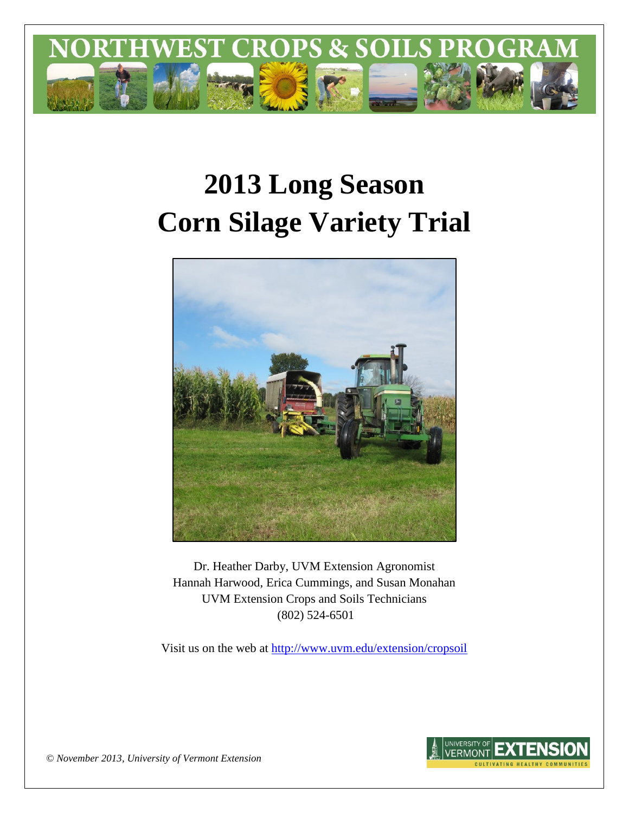

# **2013 Long Season Corn Silage Variety Trial**



Dr. Heather Darby, UVM Extension Agronomist Hannah Harwood, Erica Cummings, and Susan Monahan UVM Extension Crops and Soils Technicians (802) 524-6501

Visit us on the web at <http://www.uvm.edu/extension/cropsoil>



*© November 2013, University of Vermont Extension*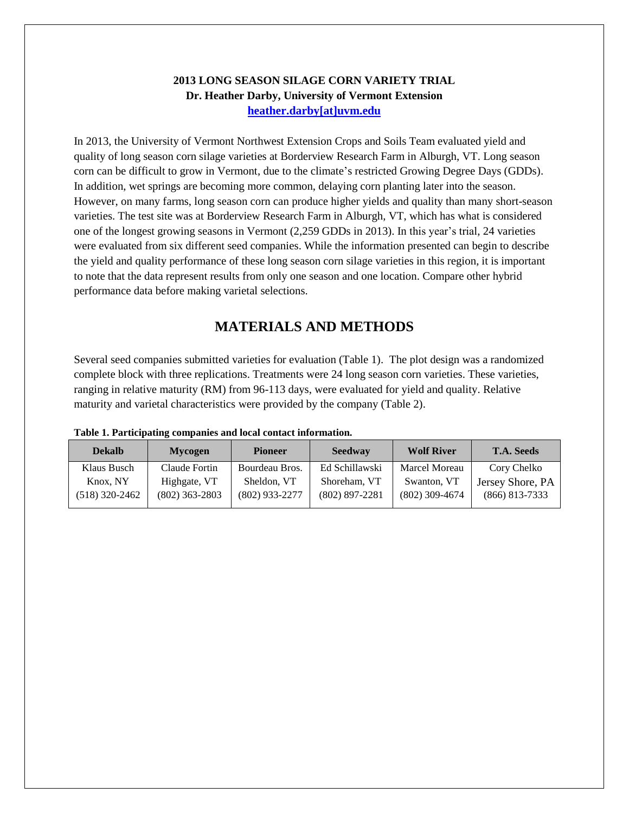### **2013 LONG SEASON SILAGE CORN VARIETY TRIAL Dr. Heather Darby, University of Vermont Extension [heather.darby\[at\]uvm.edu](mailto:heather.darby@uvm.edu?subject=2013%20Long%20Season%20Corn%20Report)**

In 2013, the University of Vermont Northwest Extension Crops and Soils Team evaluated yield and quality of long season corn silage varieties at Borderview Research Farm in Alburgh, VT. Long season corn can be difficult to grow in Vermont, due to the climate's restricted Growing Degree Days (GDDs). In addition, wet springs are becoming more common, delaying corn planting later into the season. However, on many farms, long season corn can produce higher yields and quality than many short-season varieties. The test site was at Borderview Research Farm in Alburgh, VT, which has what is considered one of the longest growing seasons in Vermont (2,259 GDDs in 2013). In this year's trial, 24 varieties were evaluated from six different seed companies. While the information presented can begin to describe the yield and quality performance of these long season corn silage varieties in this region, it is important to note that the data represent results from only one season and one location. Compare other hybrid performance data before making varietal selections.

## **MATERIALS AND METHODS**

Several seed companies submitted varieties for evaluation (Table 1). The plot design was a randomized complete block with three replications. Treatments were 24 long season corn varieties. These varieties, ranging in relative maturity (RM) from 96-113 days, were evaluated for yield and quality. Relative maturity and varietal characteristics were provided by the company (Table 2).

| <b>Dekalb</b>  | <b>Mycogen</b>   | <b>Seedway</b><br><b>Pioneer</b> |                  | <b>Wolf River</b> | <b>T.A. Seeds</b> |  |
|----------------|------------------|----------------------------------|------------------|-------------------|-------------------|--|
| Klaus Busch    | Claude Fortin    | Bourdeau Bros.                   | Ed Schillawski   | Marcel Moreau     | Cory Chelko       |  |
| Knox, NY       | Highgate, VT     | Sheldon, VT                      | Shoreham, VT     | Swanton, VT       | Jersey Shore, PA  |  |
| (518) 320-2462 | $(802)$ 363-2803 | $(802)$ 933-2277                 | $(802)$ 897-2281 | $(802)$ 309-4674  | $(866)$ 813-7333  |  |

#### **Table 1. Participating companies and local contact information.**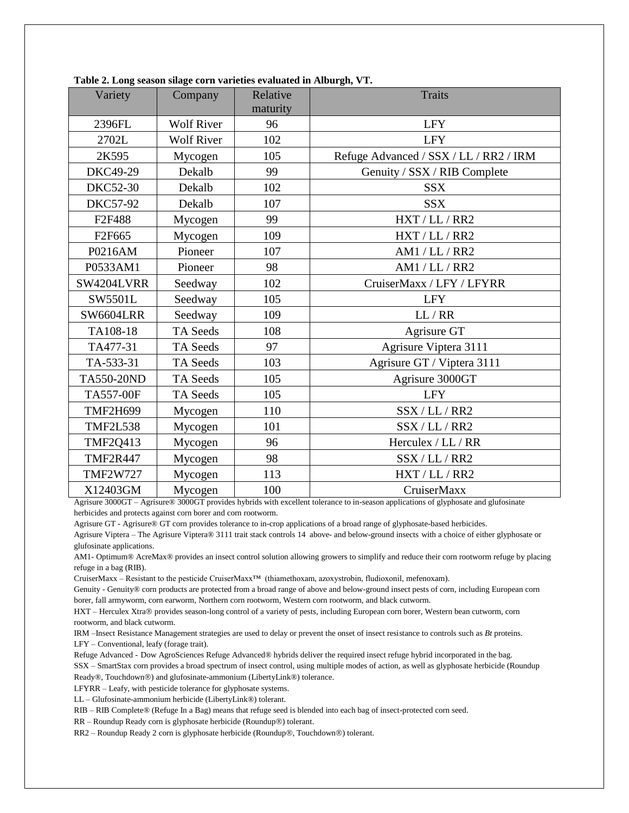| Variety            | Company           | Relative<br>maturity | <b>Traits</b>                          |
|--------------------|-------------------|----------------------|----------------------------------------|
|                    |                   |                      |                                        |
| 2396FL             | <b>Wolf River</b> | 96                   | <b>LFY</b>                             |
| 2702L              | <b>Wolf River</b> | 102                  | <b>LFY</b>                             |
| 2K595              | Mycogen           | 105                  | Refuge Advanced / SSX / LL / RR2 / IRM |
| DKC49-29           | Dekalb            | 99                   | Genuity / SSX / RIB Complete           |
| <b>DKC52-30</b>    | Dekalb            | 102                  | <b>SSX</b>                             |
| <b>DKC57-92</b>    | Dekalb            | 107                  | <b>SSX</b>                             |
| F2F488             | Mycogen           | 99                   | HXT / LL / RR2                         |
| F <sub>2F665</sub> | Mycogen           | 109                  | HXT / LL / RR2                         |
| P0216AM            | Pioneer           | 107                  | AM1 / LL / RR2                         |
| P0533AM1           | Pioneer           | 98                   | AM1 / LL / RR2                         |
| SW4204LVRR         | Seedway           | 102                  | CruiserMaxx / LFY / LFYRR              |
| SW5501L            | Seedway           | 105                  | <b>LFY</b>                             |
| <b>SW6604LRR</b>   | Seedway           | 109                  | LL / RR                                |
| TA108-18           | <b>TA Seeds</b>   | 108                  | Agrisure GT                            |
| TA477-31           | <b>TA Seeds</b>   | 97                   | Agrisure Viptera 3111                  |
| TA-533-31          | TA Seeds          | 103                  | Agrisure GT / Viptera 3111             |
| TA550-20ND         | TA Seeds          | 105                  | Agrisure 3000GT                        |
| <b>TA557-00F</b>   | TA Seeds          | 105                  | <b>LFY</b>                             |
| <b>TMF2H699</b>    | Mycogen           | 110                  | SSX / LL / RR2                         |
| <b>TMF2L538</b>    | Mycogen           | 101                  | SSX / LL / RR2                         |
| <b>TMF2Q413</b>    | Mycogen           | 96                   | Herculex / LL / RR                     |
| <b>TMF2R447</b>    | Mycogen           | 98                   | SSX / LL / RR2                         |
| <b>TMF2W727</b>    | Mycogen           | 113                  | HXT / LL / RR2                         |
| X12403GM           | Mycogen           | 100                  | CruiserMaxx                            |

| Table 2. Long season silage corn varieties evaluated in Alburgh, VT. |  |  |
|----------------------------------------------------------------------|--|--|
|                                                                      |  |  |

Agrisure 3000GT – Agrisure® 3000GT provides hybrids with excellent tolerance to in-season applications of glyphosate and glufosinate herbicides and protects against corn borer and corn rootworm.

Agrisure GT - Agrisure® GT corn provides tolerance to in-crop applications of a broad range of glyphosate-based herbicides. Agrisure Viptera – The Agrisure Viptera® 3111 trait stack controls 14 above- and below-ground insects with a choice of either glyphosate or glufosinate applications.

AM1- Optimum® AcreMax® provides an insect control solution allowing growers to simplify and reduce their corn rootworm refuge by placing refuge in a bag (RIB).

CruiserMaxx – Resistant to the pesticide CruiserMaxx™ (thiamethoxam, azoxystrobin, fludioxonil, mefenoxam).

Genuity - Genuity® corn products are protected from a broad range of above and below-ground insect pests of corn, including European corn borer, fall armyworm, corn earworm, Northern corn rootworm, Western corn rootworm, and black cutworm.

HXT – Herculex Xtra® provides season-long control of a variety of pests, including European corn borer, Western bean cutworm, corn rootworm, and black cutworm.

IRM –Insect Resistance Management strategies are used to delay or prevent the onset of insect resistance to controls such as *Bt* proteins. LFY – Conventional, leafy (forage trait).

Refuge Advanced - Dow AgroSciences Refuge Advanced® hybrids deliver the required insect refuge hybrid incorporated in the bag.

SSX – SmartStax corn provides a broad spectrum of insect control, using multiple modes of action, as well as glyphosate herbicide (Roundup Ready®, Touchdown®) and glufosinate-ammonium (LibertyLink®) tolerance.

LFYRR – Leafy, with pesticide tolerance for glyphosate systems.

LL – Glufosinate-ammonium herbicide (LibertyLink®) tolerant.

RIB – RIB Complete® (Refuge In a Bag) means that refuge seed is blended into each bag of insect-protected corn seed.

RR – Roundup Ready corn is glyphosate herbicide (Roundup®) tolerant.

RR2 – Roundup Ready 2 corn is glyphosate herbicide (Roundup®, Touchdown®) tolerant.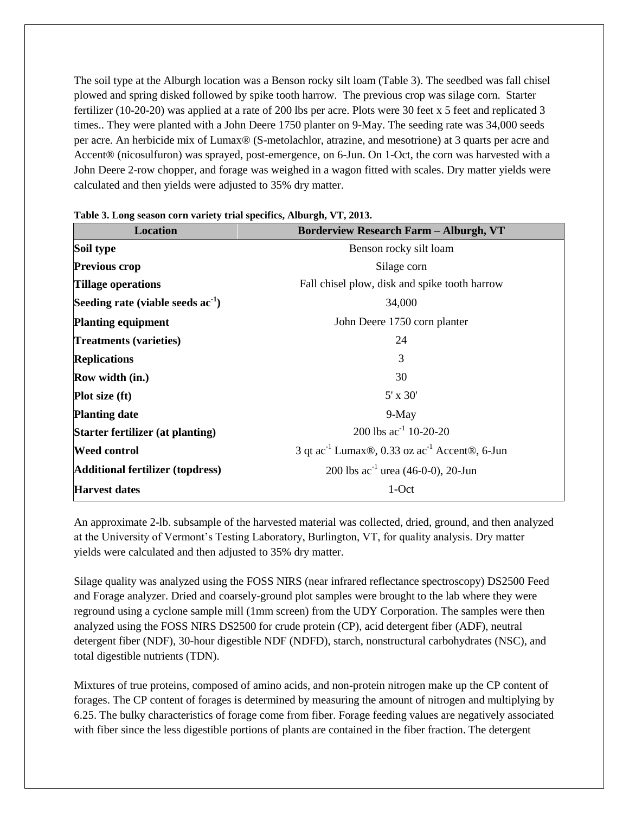The soil type at the Alburgh location was a Benson rocky silt loam (Table 3). The seedbed was fall chisel plowed and spring disked followed by spike tooth harrow. The previous crop was silage corn. Starter fertilizer (10-20-20) was applied at a rate of 200 lbs per acre. Plots were 30 feet x 5 feet and replicated 3 times.. They were planted with a John Deere 1750 planter on 9-May. The seeding rate was 34,000 seeds per acre. An herbicide mix of Lumax® (S-metolachlor, atrazine, and mesotrione) at 3 quarts per acre and Accent® (nicosulfuron) was sprayed, post-emergence, on 6-Jun. On 1-Oct, the corn was harvested with a John Deere 2-row chopper, and forage was weighed in a wagon fitted with scales. Dry matter yields were calculated and then yields were adjusted to 35% dry matter.

| <b>Location</b>                         | <b>Borderview Research Farm - Alburgh, VT</b>                         |  |  |  |  |  |
|-----------------------------------------|-----------------------------------------------------------------------|--|--|--|--|--|
| Soil type                               | Benson rocky silt loam                                                |  |  |  |  |  |
| <b>Previous crop</b>                    | Silage corn                                                           |  |  |  |  |  |
| <b>Tillage operations</b>               | Fall chisel plow, disk and spike tooth harrow                         |  |  |  |  |  |
| Seeding rate (viable seeds $ac^{-1}$ )  | 34,000                                                                |  |  |  |  |  |
| <b>Planting equipment</b>               | John Deere 1750 corn planter                                          |  |  |  |  |  |
| <b>Treatments (varieties)</b>           | 24                                                                    |  |  |  |  |  |
| <b>Replications</b>                     | 3                                                                     |  |  |  |  |  |
| <b>Row width (in.)</b>                  | 30                                                                    |  |  |  |  |  |
| <b>Plot size (ft)</b>                   | $5' \times 30'$                                                       |  |  |  |  |  |
| <b>Planting date</b>                    | $9-May$                                                               |  |  |  |  |  |
| Starter fertilizer (at planting)        | 200 lbs $ac^{-1}$ 10-20-20                                            |  |  |  |  |  |
| <b>Weed control</b>                     | 3 qt ac <sup>-1</sup> Lumax®, 0.33 oz ac <sup>-1</sup> Accent®, 6-Jun |  |  |  |  |  |
| <b>Additional fertilizer (topdress)</b> | 200 lbs $ac^{-1}$ urea (46-0-0), 20-Jun                               |  |  |  |  |  |
| <b>Harvest dates</b>                    | 1-Oct                                                                 |  |  |  |  |  |

| Table 3. Long season corn variety trial specifics, Alburgh, VT, 2013. |  |  |  |  |  |  |  |
|-----------------------------------------------------------------------|--|--|--|--|--|--|--|
|-----------------------------------------------------------------------|--|--|--|--|--|--|--|

An approximate 2-lb. subsample of the harvested material was collected, dried, ground, and then analyzed at the University of Vermont's Testing Laboratory, Burlington, VT, for quality analysis. Dry matter yields were calculated and then adjusted to 35% dry matter.

Silage quality was analyzed using the FOSS NIRS (near infrared reflectance spectroscopy) DS2500 Feed and Forage analyzer. Dried and coarsely-ground plot samples were brought to the lab where they were reground using a cyclone sample mill (1mm screen) from the UDY Corporation. The samples were then analyzed using the FOSS NIRS DS2500 for crude protein (CP), acid detergent fiber (ADF), neutral detergent fiber (NDF), 30-hour digestible NDF (NDFD), starch, nonstructural carbohydrates (NSC), and total digestible nutrients (TDN).

Mixtures of true proteins, composed of amino acids, and non-protein nitrogen make up the CP content of forages. The CP content of forages is determined by measuring the amount of nitrogen and multiplying by 6.25. The bulky characteristics of forage come from fiber. Forage feeding values are negatively associated with fiber since the less digestible portions of plants are contained in the fiber fraction. The detergent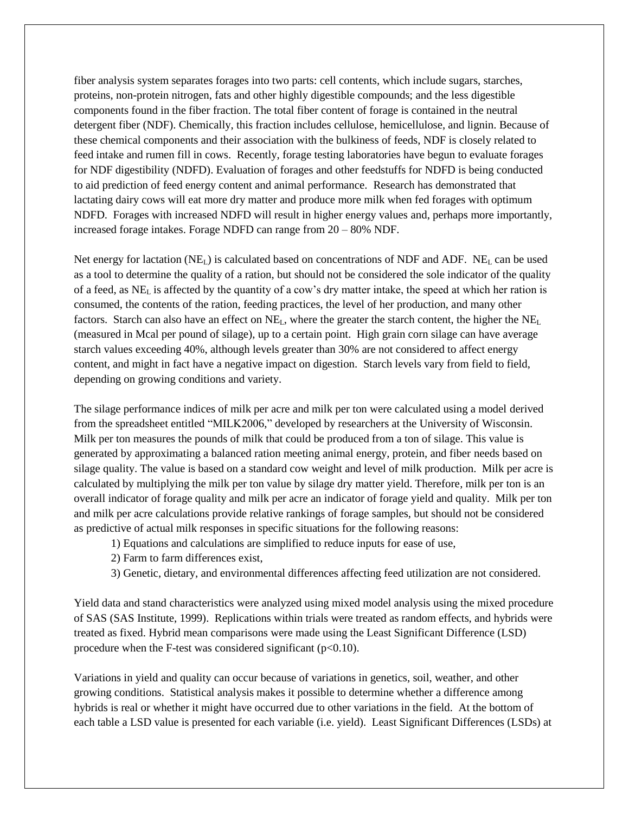fiber analysis system separates forages into two parts: cell contents, which include sugars, starches, proteins, non-protein nitrogen, fats and other highly digestible compounds; and the less digestible components found in the fiber fraction. The total fiber content of forage is contained in the neutral detergent fiber (NDF). Chemically, this fraction includes cellulose, hemicellulose, and lignin. Because of these chemical components and their association with the bulkiness of feeds, NDF is closely related to feed intake and rumen fill in cows. Recently, forage testing laboratories have begun to evaluate forages for NDF digestibility (NDFD). Evaluation of forages and other feedstuffs for NDFD is being conducted to aid prediction of feed energy content and animal performance. Research has demonstrated that lactating dairy cows will eat more dry matter and produce more milk when fed forages with optimum NDFD. Forages with increased NDFD will result in higher energy values and, perhaps more importantly, increased forage intakes. Forage NDFD can range from 20 – 80% NDF.

Net energy for lactation  $(NE_L)$  is calculated based on concentrations of NDF and ADF.  $NE_L$  can be used as a tool to determine the quality of a ration, but should not be considered the sole indicator of the quality of a feed, as NE<sup>L</sup> is affected by the quantity of a cow's dry matter intake, the speed at which her ration is consumed, the contents of the ration, feeding practices, the level of her production, and many other factors. Starch can also have an effect on  $NE<sub>L</sub>$ , where the greater the starch content, the higher the  $NE<sub>L</sub>$ (measured in Mcal per pound of silage), up to a certain point. High grain corn silage can have average starch values exceeding 40%, although levels greater than 30% are not considered to affect energy content, and might in fact have a negative impact on digestion. Starch levels vary from field to field, depending on growing conditions and variety.

The silage performance indices of milk per acre and milk per ton were calculated using a model derived from the spreadsheet entitled "MILK2006," developed by researchers at the University of Wisconsin. Milk per ton measures the pounds of milk that could be produced from a ton of silage. This value is generated by approximating a balanced ration meeting animal energy, protein, and fiber needs based on silage quality. The value is based on a standard cow weight and level of milk production. Milk per acre is calculated by multiplying the milk per ton value by silage dry matter yield. Therefore, milk per ton is an overall indicator of forage quality and milk per acre an indicator of forage yield and quality. Milk per ton and milk per acre calculations provide relative rankings of forage samples, but should not be considered as predictive of actual milk responses in specific situations for the following reasons:

- 1) Equations and calculations are simplified to reduce inputs for ease of use,
- 2) Farm to farm differences exist,
- 3) Genetic, dietary, and environmental differences affecting feed utilization are not considered.

Yield data and stand characteristics were analyzed using mixed model analysis using the mixed procedure of SAS (SAS Institute, 1999). Replications within trials were treated as random effects, and hybrids were treated as fixed. Hybrid mean comparisons were made using the Least Significant Difference (LSD) procedure when the F-test was considered significant  $(p<0.10)$ .

Variations in yield and quality can occur because of variations in genetics, soil, weather, and other growing conditions. Statistical analysis makes it possible to determine whether a difference among hybrids is real or whether it might have occurred due to other variations in the field. At the bottom of each table a LSD value is presented for each variable (i.e. yield). Least Significant Differences (LSDs) at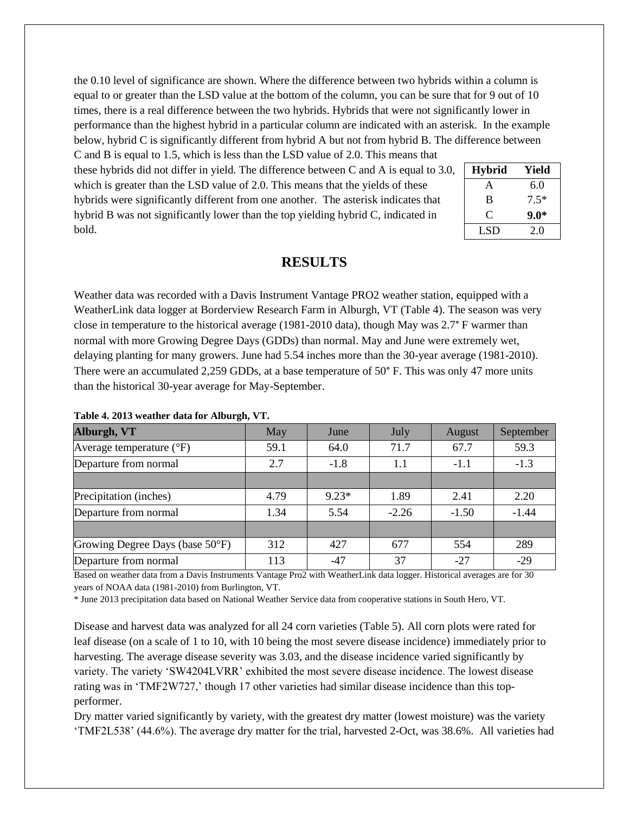the 0.10 level of significance are shown. Where the difference between two hybrids within a column is equal to or greater than the LSD value at the bottom of the column, you can be sure that for 9 out of 10 times, there is a real difference between the two hybrids. Hybrids that were not significantly lower in performance than the highest hybrid in a particular column are indicated with an asterisk. In the example below, hybrid C is significantly different from hybrid A but not from hybrid B. The difference between

C and B is equal to 1.5, which is less than the LSD value of 2.0. This means that these hybrids did not differ in yield. The difference between C and A is equal to 3.0, which is greater than the LSD value of 2.0. This means that the yields of these hybrids were significantly different from one another. The asterisk indicates that hybrid B was not significantly lower than the top yielding hybrid C, indicated in bold.

| <b>Hybrid</b> | Yield  |
|---------------|--------|
| A             | 6.0    |
| B             | $7.5*$ |
| C             | $9.0*$ |
| LSD           | 2.0    |

### **RESULTS**

Weather data was recorded with a Davis Instrument Vantage PRO2 weather station, equipped with a WeatherLink data logger at Borderview Research Farm in Alburgh, VT (Table 4). The season was very close in temperature to the historical average (1981-2010 data), though May was 2.7° F warmer than normal with more Growing Degree Days (GDDs) than normal. May and June were extremely wet, delaying planting for many growers. June had 5.54 inches more than the 30-year average (1981-2010). There were an accumulated 2,259 GDDs, at a base temperature of 50° F. This was only 47 more units than the historical 30-year average for May-September.

| Alburgh, VT                       | <b>May</b> | June    | July    | August  | September |
|-----------------------------------|------------|---------|---------|---------|-----------|
| Average temperature $(^{\circ}F)$ | 59.1       | 64.0    | 71.7    | 67.7    | 59.3      |
| Departure from normal             | 2.7        | $-1.8$  | 1.1     | $-1.1$  | $-1.3$    |
|                                   |            |         |         |         |           |
| Precipitation (inches)            | 4.79       | $9.23*$ | 1.89    | 2.41    | 2.20      |
| Departure from normal             | 1.34       | 5.54    | $-2.26$ | $-1.50$ | $-1.44$   |
|                                   |            |         |         |         |           |
| Growing Degree Days (base 50°F)   | 312        | 427     | 677     | 554     | 289       |
| Departure from normal             | 113        | $-47$   | 37      | $-27$   | $-29$     |

#### **Table 4. 2013 weather data for Alburgh, VT.**

Based on weather data from a Davis Instruments Vantage Pro2 with WeatherLink data logger. Historical averages are for 30 years of NOAA data (1981-2010) from Burlington, VT.

\* June 2013 precipitation data based on National Weather Service data from cooperative stations in South Hero, VT.

Disease and harvest data was analyzed for all 24 corn varieties (Table 5). All corn plots were rated for leaf disease (on a scale of 1 to 10, with 10 being the most severe disease incidence) immediately prior to harvesting. The average disease severity was 3.03, and the disease incidence varied significantly by variety. The variety 'SW4204LVRR' exhibited the most severe disease incidence. The lowest disease rating was in 'TMF2W727,' though 17 other varieties had similar disease incidence than this topperformer.

Dry matter varied significantly by variety, with the greatest dry matter (lowest moisture) was the variety 'TMF2L538' (44.6%). The average dry matter for the trial, harvested 2-Oct, was 38.6%. All varieties had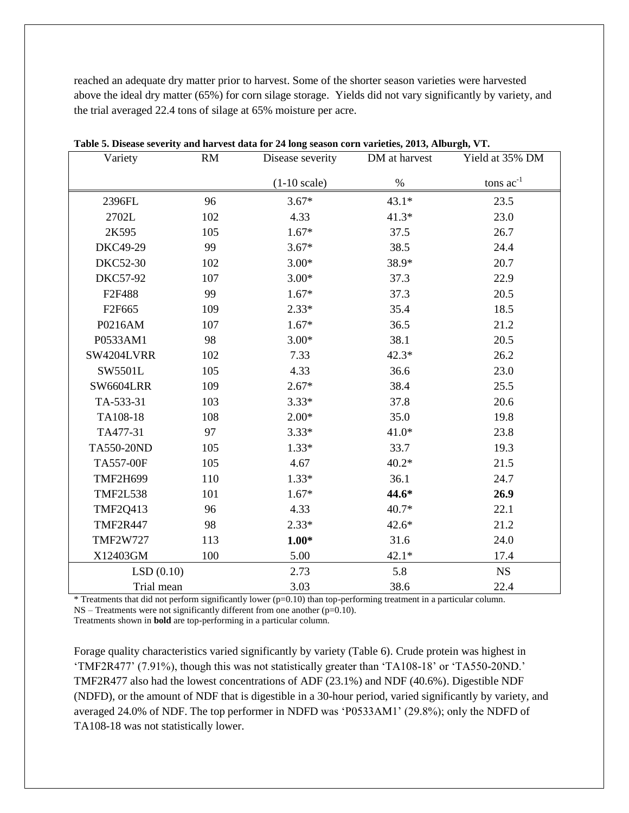reached an adequate dry matter prior to harvest. Some of the shorter season varieties were harvested above the ideal dry matter (65%) for corn silage storage. Yields did not vary significantly by variety, and the trial averaged 22.4 tons of silage at 65% moisture per acre.

| Variety            | <b>RM</b> |                        | DM at harvest | Yield at 35% DM |
|--------------------|-----------|------------------------|---------------|-----------------|
|                    |           | $(1-10 \text{ scale})$ | $\%$          | tons $ac^{-1}$  |
| 2396FL             | 96        | $3.67*$                | $43.1*$       | 23.5            |
| 2702L              | 102       | 4.33                   | $41.3*$       | 23.0            |
| 2K595              | 105       | $1.67*$                | 37.5          | 26.7            |
| DKC49-29           | 99        | $3.67*$                | 38.5          | 24.4            |
| <b>DKC52-30</b>    | 102       | $3.00*$                | 38.9*         | 20.7            |
| <b>DKC57-92</b>    | 107       | $3.00*$                | 37.3          | 22.9            |
| F2F488             | 99        | $1.67*$                | 37.3          | 20.5            |
| F <sub>2F665</sub> | 109       | $2.33*$                | 35.4          | 18.5            |
| P0216AM            | 107       | $1.67*$                | 36.5          | 21.2            |
| P0533AM1           | 98        | $3.00*$                | 38.1          | 20.5            |
| SW4204LVRR         | 102       | 7.33                   | $42.3*$       | 26.2            |
| SW5501L            | 105       | 4.33                   | 36.6          | 23.0            |
| <b>SW6604LRR</b>   | 109       | $2.67*$                | 38.4          | 25.5            |
| TA-533-31          | 103       | $3.33*$                | 37.8          | 20.6            |
| TA108-18           | 108       | $2.00*$                | 35.0          | 19.8            |
| TA477-31           | 97        | $3.33*$                | $41.0*$       | 23.8            |
| TA550-20ND         | 105       | $1.33*$                | 33.7          | 19.3            |
| <b>TA557-00F</b>   | 105       | 4.67                   | $40.2*$       | 21.5            |
| <b>TMF2H699</b>    | 110       | $1.33*$                | 36.1          | 24.7            |
| <b>TMF2L538</b>    | 101       | $1.67*$                | 44.6*         | 26.9            |
| <b>TMF2Q413</b>    | 96        | 4.33                   | $40.7*$       | 22.1            |
| <b>TMF2R447</b>    | 98        | $2.33*$                | $42.6*$       | 21.2            |
| <b>TMF2W727</b>    | 113       | $1.00*$                | 31.6          | 24.0            |
| X12403GM           | 100       | 5.00                   | $42.1*$       | 17.4            |
| LSD(0.10)          |           | 2.73                   | 5.8           | <b>NS</b>       |
| Trial mean         |           | 3.03                   | 38.6          | 22.4            |

**Table 5. Disease severity and harvest data for 24 long season corn varieties, 2013, Alburgh, VT.**

\* Treatments that did not perform significantly lower (p=0.10) than top-performing treatment in a particular column. NS – Treatments were not significantly different from one another (p=0.10).

Treatments shown in **bold** are top-performing in a particular column.

Forage quality characteristics varied significantly by variety (Table 6). Crude protein was highest in 'TMF2R477' (7.91%), though this was not statistically greater than 'TA108-18' or 'TA550-20ND.' TMF2R477 also had the lowest concentrations of ADF (23.1%) and NDF (40.6%). Digestible NDF (NDFD), or the amount of NDF that is digestible in a 30-hour period, varied significantly by variety, and averaged 24.0% of NDF. The top performer in NDFD was 'P0533AM1' (29.8%); only the NDFD of TA108-18 was not statistically lower.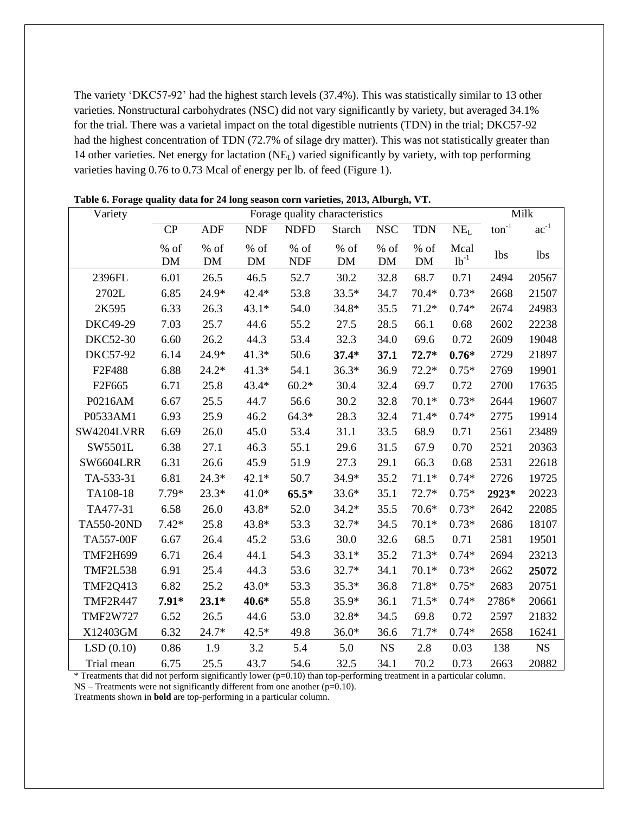The variety 'DKC57-92' had the highest starch levels (37.4%). This was statistically similar to 13 other varieties. Nonstructural carbohydrates (NSC) did not vary significantly by variety, but averaged 34.1% for the trial. There was a varietal impact on the total digestible nutrients (TDN) in the trial; DKC57-92 had the highest concentration of TDN (72.7% of silage dry matter). This was not statistically greater than 14 other varieties. Net energy for lactation  $(NE<sub>L</sub>)$  varied significantly by variety, with top performing varieties having 0.76 to 0.73 Mcal of energy per lb. of feed (Figure 1).

| Variety          |                   | Forage quality characteristics |                |                      |                 |            |              |                   |                   | Milk       |
|------------------|-------------------|--------------------------------|----------------|----------------------|-----------------|------------|--------------|-------------------|-------------------|------------|
|                  | CP                | <b>ADF</b>                     | <b>NDF</b>     | <b>NDFD</b>          | <b>Starch</b>   | <b>NSC</b> | <b>TDN</b>   | NE <sub>L</sub>   | $\text{ton}^{-1}$ | $ac^{-1}$  |
|                  | % of<br><b>DM</b> | % of<br>$DM$                   | $%$ of<br>$DM$ | $%$ of<br><b>NDF</b> | $\%$ of<br>$DM$ | % of<br>DM | $%$ of<br>DM | Mcal<br>$lb^{-1}$ | <b>lbs</b>        | <b>lbs</b> |
| 2396FL           | 6.01              | 26.5                           | 46.5           | 52.7                 | 30.2            | 32.8       | 68.7         | 0.71              | 2494              | 20567      |
| 2702L            | 6.85              | 24.9*                          | $42.4*$        | 53.8                 | $33.5*$         | 34.7       | $70.4*$      | $0.73*$           | 2668              | 21507      |
| 2K595            | 6.33              | 26.3                           | $43.1*$        | 54.0                 | $34.8*$         | 35.5       | $71.2*$      | $0.74*$           | 2674              | 24983      |
| DKC49-29         | 7.03              | 25.7                           | 44.6           | 55.2                 | 27.5            | 28.5       | 66.1         | 0.68              | 2602              | 22238      |
| <b>DKC52-30</b>  | 6.60              | 26.2                           | 44.3           | 53.4                 | 32.3            | 34.0       | 69.6         | 0.72              | 2609              | 19048      |
| <b>DKC57-92</b>  | 6.14              | 24.9*                          | $41.3*$        | 50.6                 | $37.4*$         | 37.1       | $72.7*$      | $0.76*$           | 2729              | 21897      |
| F2F488           | 6.88              | $24.2*$                        | $41.3*$        | 54.1                 | $36.3*$         | 36.9       | $72.2*$      | $0.75*$           | 2769              | 19901      |
| F2F665           | 6.71              | 25.8                           | 43.4*          | $60.2*$              | 30.4            | 32.4       | 69.7         | 0.72              | 2700              | 17635      |
| P0216AM          | 6.67              | 25.5                           | 44.7           | 56.6                 | 30.2            | 32.8       | $70.1*$      | $0.73*$           | 2644              | 19607      |
| P0533AM1         | 6.93              | 25.9                           | 46.2           | $64.3*$              | 28.3            | 32.4       | $71.4*$      | $0.74*$           | 2775              | 19914      |
| SW4204LVRR       | 6.69              | 26.0                           | 45.0           | 53.4                 | 31.1            | 33.5       | 68.9         | 0.71              | 2561              | 23489      |
| SW5501L          | 6.38              | 27.1                           | 46.3           | 55.1                 | 29.6            | 31.5       | 67.9         | 0.70              | 2521              | 20363      |
| <b>SW6604LRR</b> | 6.31              | 26.6                           | 45.9           | 51.9                 | 27.3            | 29.1       | 66.3         | 0.68              | 2531              | 22618      |
| TA-533-31        | 6.81              | $24.3*$                        | $42.1*$        | 50.7                 | 34.9*           | 35.2       | $71.1*$      | $0.74*$           | 2726              | 19725      |
| TA108-18         | $7.79*$           | $23.3*$                        | $41.0*$        | $65.5*$              | $33.6*$         | 35.1       | $72.7*$      | $0.75*$           | 2923*             | 20223      |
| TA477-31         | 6.58              | 26.0                           | 43.8*          | 52.0                 | $34.2*$         | 35.5       | $70.6*$      | $0.73*$           | 2642              | 22085      |
| TA550-20ND       | $7.42*$           | 25.8                           | 43.8*          | 53.3                 | $32.7*$         | 34.5       | $70.1*$      | $0.73*$           | 2686              | 18107      |
| TA557-00F        | 6.67              | 26.4                           | 45.2           | 53.6                 | 30.0            | 32.6       | 68.5         | 0.71              | 2581              | 19501      |
| <b>TMF2H699</b>  | 6.71              | 26.4                           | 44.1           | 54.3                 | $33.1*$         | 35.2       | $71.3*$      | $0.74*$           | 2694              | 23213      |
| <b>TMF2L538</b>  | 6.91              | 25.4                           | 44.3           | 53.6                 | $32.7*$         | 34.1       | $70.1*$      | $0.73*$           | 2662              | 25072      |
| <b>TMF2Q413</b>  | 6.82              | 25.2                           | 43.0*          | 53.3                 | $35.3*$         | 36.8       | 71.8*        | $0.75*$           | 2683              | 20751      |
| <b>TMF2R447</b>  | $7.91*$           | $23.1*$                        | $40.6*$        | 55.8                 | $35.9*$         | 36.1       | $71.5*$      | $0.74*$           | 2786*             | 20661      |
| <b>TMF2W727</b>  | 6.52              | 26.5                           | 44.6           | 53.0                 | 32.8*           | 34.5       | 69.8         | 0.72              | 2597              | 21832      |
| X12403GM         | 6.32              | 24.7*                          | $42.5*$        | 49.8                 | $36.0*$         | 36.6       | $71.7*$      | $0.74*$           | 2658              | 16241      |
| LSD(0.10)        | 0.86              | 1.9                            | 3.2            | 5.4                  | 5.0             | <b>NS</b>  | 2.8          | 0.03              | 138               | <b>NS</b>  |
| Trial mean       | 6.75              | 25.5                           | 43.7           | 54.6                 | 32.5            | 34.1       | 70.2         | 0.73              | 2663              | 20882      |

**Table 6. Forage quality data for 24 long season corn varieties, 2013, Alburgh, VT.**

\* Treatments that did not perform significantly lower (p=0.10) than top-performing treatment in a particular column.

NS – Treatments were not significantly different from one another (p=0.10).

Treatments shown in **bold** are top-performing in a particular column.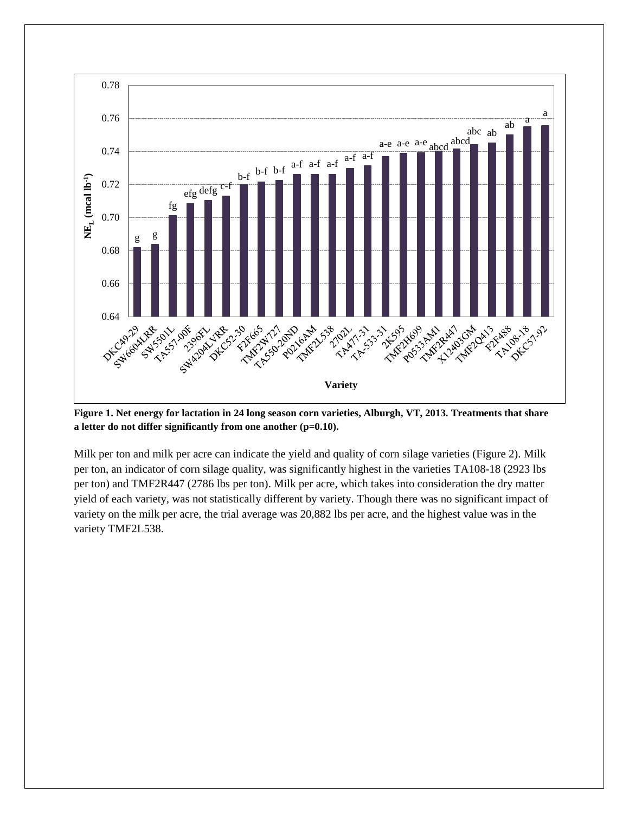

**Figure 1. Net energy for lactation in 24 long season corn varieties, Alburgh, VT, 2013. Treatments that share a letter do not differ significantly from one another (p=0.10).**

Milk per ton and milk per acre can indicate the yield and quality of corn silage varieties (Figure 2). Milk per ton, an indicator of corn silage quality, was significantly highest in the varieties TA108-18 (2923 lbs per ton) and TMF2R447 (2786 lbs per ton). Milk per acre, which takes into consideration the dry matter yield of each variety, was not statistically different by variety. Though there was no significant impact of variety on the milk per acre, the trial average was 20,882 lbs per acre, and the highest value was in the variety TMF2L538.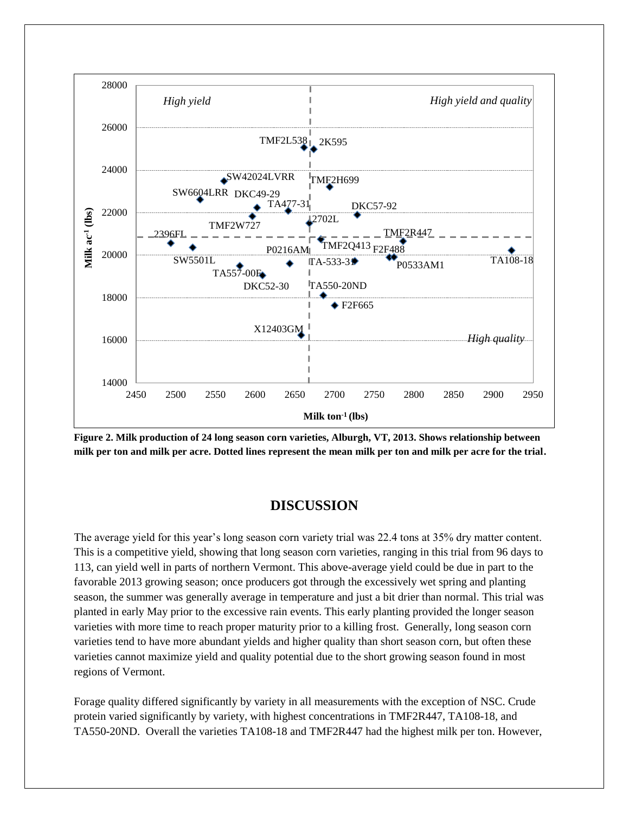

**Figure 2. Milk production of 24 long season corn varieties, Alburgh, VT, 2013. Shows relationship between milk per ton and milk per acre. Dotted lines represent the mean milk per ton and milk per acre for the trial.**

### **DISCUSSION**

The average yield for this year's long season corn variety trial was 22.4 tons at 35% dry matter content. This is a competitive yield, showing that long season corn varieties, ranging in this trial from 96 days to 113, can yield well in parts of northern Vermont. This above-average yield could be due in part to the favorable 2013 growing season; once producers got through the excessively wet spring and planting season, the summer was generally average in temperature and just a bit drier than normal. This trial was planted in early May prior to the excessive rain events. This early planting provided the longer season varieties with more time to reach proper maturity prior to a killing frost. Generally, long season corn varieties tend to have more abundant yields and higher quality than short season corn, but often these varieties cannot maximize yield and quality potential due to the short growing season found in most regions of Vermont.

Forage quality differed significantly by variety in all measurements with the exception of NSC. Crude protein varied significantly by variety, with highest concentrations in TMF2R447, TA108-18, and TA550-20ND. Overall the varieties TA108-18 and TMF2R447 had the highest milk per ton. However,